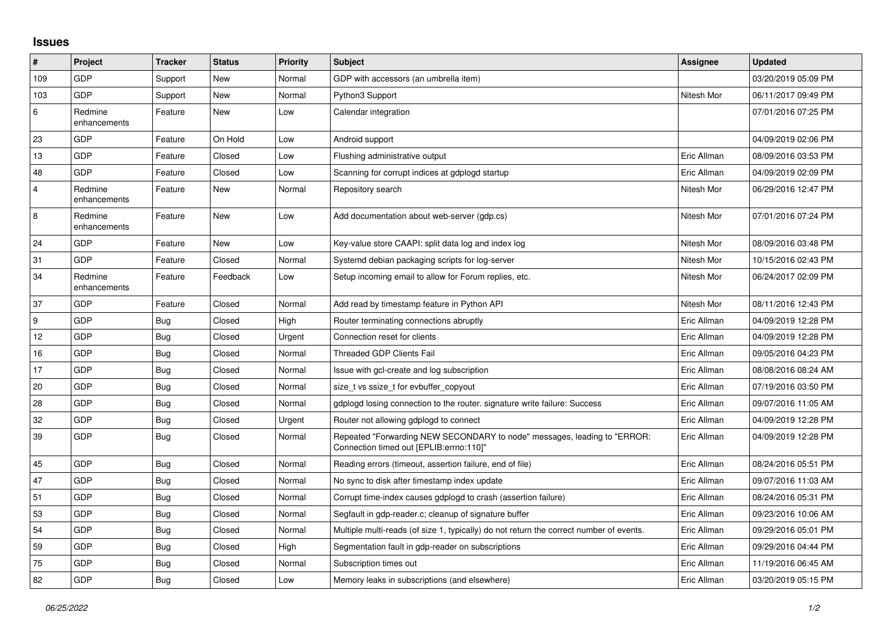## **Issues**

| #                       | Project                 | <b>Tracker</b> | <b>Status</b> | <b>Priority</b> | <b>Subject</b>                                                                                                      | Assignee    | <b>Updated</b>      |
|-------------------------|-------------------------|----------------|---------------|-----------------|---------------------------------------------------------------------------------------------------------------------|-------------|---------------------|
| 109                     | GDP                     | Support        | New           | Normal          | GDP with accessors (an umbrella item)                                                                               |             | 03/20/2019 05:09 PM |
| 103                     | GDP                     | Support        | <b>New</b>    | Normal          | Python3 Support                                                                                                     | Nitesh Mor  | 06/11/2017 09:49 PM |
| 6                       | Redmine<br>enhancements | Feature        | New           | Low             | Calendar integration                                                                                                |             | 07/01/2016 07:25 PM |
| 23                      | GDP                     | Feature        | On Hold       | Low             | Android support                                                                                                     |             | 04/09/2019 02:06 PM |
| 13                      | <b>GDP</b>              | Feature        | Closed        | Low             | Flushing administrative output                                                                                      | Eric Allman | 08/09/2016 03:53 PM |
| 48                      | GDP                     | Feature        | Closed        | Low             | Scanning for corrupt indices at gdplogd startup                                                                     | Eric Allman | 04/09/2019 02:09 PM |
| $\overline{\mathbf{4}}$ | Redmine<br>enhancements | Feature        | New           | Normal          | Repository search                                                                                                   | Nitesh Mor  | 06/29/2016 12:47 PM |
| 8                       | Redmine<br>enhancements | Feature        | New           | Low             | Add documentation about web-server (gdp.cs)                                                                         | Nitesh Mor  | 07/01/2016 07:24 PM |
| 24                      | GDP                     | Feature        | <b>New</b>    | Low             | Key-value store CAAPI: split data log and index log                                                                 | Nitesh Mor  | 08/09/2016 03:48 PM |
| 31                      | GDP                     | Feature        | Closed        | Normal          | Systemd debian packaging scripts for log-server                                                                     | Nitesh Mor  | 10/15/2016 02:43 PM |
| 34                      | Redmine<br>enhancements | Feature        | Feedback      | Low             | Setup incoming email to allow for Forum replies, etc.                                                               | Nitesh Mor  | 06/24/2017 02:09 PM |
| 37                      | GDP                     | Feature        | Closed        | Normal          | Add read by timestamp feature in Python API                                                                         | Nitesh Mor  | 08/11/2016 12:43 PM |
| 9                       | <b>GDP</b>              | <b>Bug</b>     | Closed        | High            | Router terminating connections abruptly                                                                             | Eric Allman | 04/09/2019 12:28 PM |
| 12                      | <b>GDP</b>              | Bug            | Closed        | Urgent          | Connection reset for clients                                                                                        | Eric Allman | 04/09/2019 12:28 PM |
| 16                      | GDP                     | <b>Bug</b>     | Closed        | Normal          | <b>Threaded GDP Clients Fail</b>                                                                                    | Eric Allman | 09/05/2016 04:23 PM |
| 17                      | GDP                     | <b>Bug</b>     | Closed        | Normal          | Issue with gcl-create and log subscription                                                                          | Eric Allman | 08/08/2016 08:24 AM |
| 20                      | GDP                     | Bug            | Closed        | Normal          | size t vs ssize t for evbuffer copyout                                                                              | Eric Allman | 07/19/2016 03:50 PM |
| 28                      | GDP                     | <b>Bug</b>     | Closed        | Normal          | gdplogd losing connection to the router, signature write failure: Success                                           | Eric Allman | 09/07/2016 11:05 AM |
| 32                      | <b>GDP</b>              | <b>Bug</b>     | Closed        | Urgent          | Router not allowing gdplogd to connect                                                                              | Eric Allman | 04/09/2019 12:28 PM |
| 39                      | GDP                     | <b>Bug</b>     | Closed        | Normal          | Repeated "Forwarding NEW SECONDARY to node" messages, leading to "ERROR:<br>Connection timed out [EPLIB:errno:110]" | Eric Allman | 04/09/2019 12:28 PM |
| 45                      | GDP                     | <b>Bug</b>     | Closed        | Normal          | Reading errors (timeout, assertion failure, end of file)                                                            | Eric Allman | 08/24/2016 05:51 PM |
| 47                      | GDP                     | <b>Bug</b>     | Closed        | Normal          | No sync to disk after timestamp index update                                                                        | Eric Allman | 09/07/2016 11:03 AM |
| 51                      | GDP                     | <b>Bug</b>     | Closed        | Normal          | Corrupt time-index causes gdplogd to crash (assertion failure)                                                      | Eric Allman | 08/24/2016 05:31 PM |
| 53                      | GDP                     | <b>Bug</b>     | Closed        | Normal          | Segfault in gdp-reader.c; cleanup of signature buffer                                                               | Eric Allman | 09/23/2016 10:06 AM |
| 54                      | GDP                     | <b>Bug</b>     | Closed        | Normal          | Multiple multi-reads (of size 1, typically) do not return the correct number of events.                             | Eric Allman | 09/29/2016 05:01 PM |
| 59                      | <b>GDP</b>              | Bug            | Closed        | High            | Segmentation fault in gdp-reader on subscriptions                                                                   | Eric Allman | 09/29/2016 04:44 PM |
| 75                      | GDP                     | <b>Bug</b>     | Closed        | Normal          | Subscription times out                                                                                              | Eric Allman | 11/19/2016 06:45 AM |
| 82                      | GDP                     | <b>Bug</b>     | Closed        | Low             | Memory leaks in subscriptions (and elsewhere)                                                                       | Eric Allman | 03/20/2019 05:15 PM |